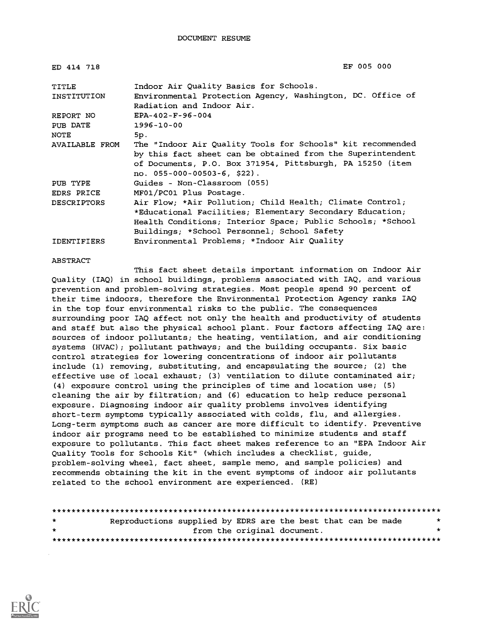| ED 414 718         | EF 005 000                                                                                                                                                                                                                    |
|--------------------|-------------------------------------------------------------------------------------------------------------------------------------------------------------------------------------------------------------------------------|
| TITLE              | Indoor Air Quality Basics for Schools.                                                                                                                                                                                        |
| INSTITUTION        | Environmental Protection Agency, Washington, DC. Office of<br>Radiation and Indoor Air.                                                                                                                                       |
| REPORT NO          | EPA-402-F-96-004                                                                                                                                                                                                              |
| PUB DATE           | 1996-10-00                                                                                                                                                                                                                    |
| <b>NOTE</b>        | 5p.                                                                                                                                                                                                                           |
| AVAILABLE FROM     | The "Indoor Air Quality Tools for Schools" kit recommended<br>by this fact sheet can be obtained from the Superintendent<br>of Documents, P.O. Box 371954, Pittsburgh, PA 15250 (item<br>no. $055 - 000 - 00503 - 6$ , \$22). |
| PUB TYPE           | Guides - Non-Classroom (055)                                                                                                                                                                                                  |
| EDRS PRICE         | MF01/PC01 Plus Postage.                                                                                                                                                                                                       |
| DESCRIPTORS        | Air Flow; *Air Pollution; Child Health; Climate Control;<br>*Educational Facilities; Elementary Secondary Education;                                                                                                          |
|                    | Health Conditions; Interior Space; Public Schools; *School                                                                                                                                                                    |
|                    | Buildings; *School Personnel; School Safety                                                                                                                                                                                   |
| <b>IDENTIFIERS</b> | Environmental Problems; *Indoor Air Quality                                                                                                                                                                                   |

#### ABSTRACT

This fact sheet details important information on Indoor Air Quality (IAQ) in school buildings, problems associated with IAQ, and various prevention and problem-solving strategies. Most people spend 90 percent of their time indoors, therefore the Environmental Protection Agency ranks IAQ in the top four environmental risks to the public. The consequences surrounding poor IAQ affect not only the health and productivity of students and staff but also the physical school plant. Four factors affecting IAQ are: sources of indoor pollutants; the heating, ventilation, and air conditioning systems (HVAC); pollutant pathways; and the building occupants. Six basic control strategies for lowering concentrations of indoor air pollutants include (1) removing, substituting, and encapsulating the source; (2) the effective use of local exhaust; (3) ventilation to dilute contaminated air; (4) exposure control using the principles of time and location use; (5) cleaning the air by filtration; and (6) education to help reduce personal exposure. Diagnosing indoor air quality problems involves identifying short-term symptoms typically associated with colds, flu, and allergies. Long-term symptoms such as cancer are more difficult to identify. Preventive indoor air programs need to be established to minimize students and staff exposure to pollutants. This fact sheet makes reference to an "EPA Indoor Air Quality Tools for Schools Kit" (which includes a checklist, guide, problem-solving wheel, fact sheet, sample memo, and sample policies) and recommends obtaining the kit in the event symptoms of indoor air pollutants related to the school environment are experienced. (RE)

| $\star$      | Reproductions supplied by EDRS are the best that can be made | $\star$ |
|--------------|--------------------------------------------------------------|---------|
| $\mathbf{r}$ | from the original document.                                  |         |
|              |                                                              |         |

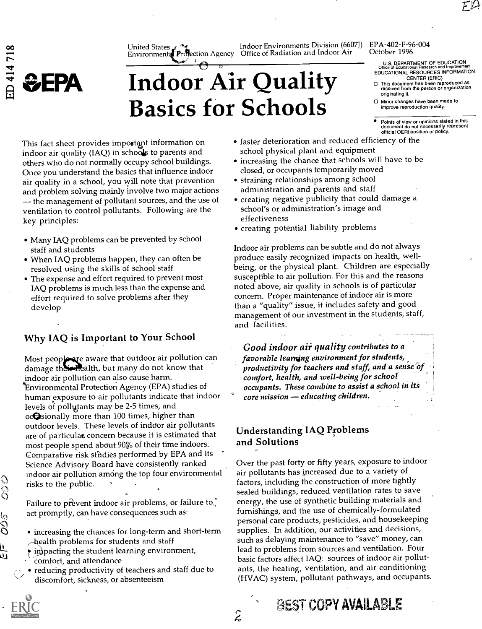00

C<br>O

Ŵ



United States  $\mathscr{L}^{\Lambda}$ Environment ection Agency Office of Radiation and Indoor Air

EPA Indoor Air Quality EDUCATIONAL RESOURCES INFORM  $\circ$   $\qquad$ Basics for Schools

Indoor Environments Division (6607J) EPA-402-F-96-004 October 1996

> U.S. DEPARTMENT OF EDUCATION Office of Educational Research and Improvement EDUCATIONAL RESOURCES INFORMATION CENTER (ERIC)

- This document has been reproduced as received from the person or organization originating it.
- □ Minor changes have been made to improve reproduction quality.

Points of view or opinions stated in this document do not necessarily represent official OERI position or policy.

This fact sheet provides important information on indoor air quality (IAQ) in schools to parents and others who do not normally occupy school buildings. Once you understand the basics that influence indoor air quality in a school, you will note that prevention and problem solving mainly involve two major actions — the management of pollutant sources, and the use of ventilation to control pollutants. Following are the key principles:

- Many IAQ problems can be prevented by school staff and students
- When IAQ problems happen, they can often be resolved using the skills of school staff
- The expense and effort required to prevent most IAQ problems is much less than the expense and effort required to solve problems after they develop

## Why IAQ is Important to Your School

Most peoples aware that outdoor air pollution can damage their health, but many do not know that indoor air pollution can also cause harm. Environmental Protection Agency (EPA) studies of human exposure to air pollutants indicate that indoor levels of pollutants may be 2-5 times, and oc**es** ionally more than 100 times, higher than outdoor levels. These levels of indoor air pollutants are of particular concern because it is estimated that most people spend about 90% of their time indoors. Comparative risk studies performed by EPA and its Science Advisory Board have consistently ranked indoor air pollution among the top four environmental risks to the public.

Failure to prevent indoor air problems, or failure to. act promptly, can have consequences such as:

- increasing the chances for long-term and short-term health problems for students and staff
- $\bullet$  im pacting the student learning environment, comfort, and attendance
- reducing productivity of teachers and staff due to discomfort, sickness, or absenteeism
- faster deterioration and reduced efficiency of the school physical plant and equipment
- increasing the chance that schools will have to be closed, or occupants temporarily moved
- straining relationships among school administration and parents and staff
- creating negative publicity that could damage a school's or administration's image and effectiveness
- creating potential liability problems

Indoor air problems can be subtle and do not always produce easily recognized impacts on health, wellbeing, or the physical plant. Children are especially susceptible to air pollution. For this and the reasons noted above, air quality in schools is of particular concern. Proper maintenance of indoor air is more than a "quality" issue, it includes safety and good management of our investment in the students, staff, and facilities.

Good indoor air quality contributes to a favorable learning environment for students, productivity for teachers and staff, and a sense"of comfort, health, and well-being for school occupants. These combine to assist a school in its  $core$  mission  $-$  educating children.

#### Understanding IAQ Problems and Solutions

Over the past forty or fifty years, exposure to indoor air pollutants has increased due to a variety of factors, including the construction of more tightly sealed buildings, reduced ventilation rates to save energy, the use of synthetic building materials and furnishings, and the use of chemically-formulated personal care products, pesticides, and housekeeping supplies. In addition, our activities and decisions, such as delaying maintenance to "save" money, can lead to problems from sources and ventilation. Four basic factors affect IAQ: sources of indoor air pollutants, the heating, ventilation, and air-conditioning (HVAC) system, pollutant pathways, and occupants.

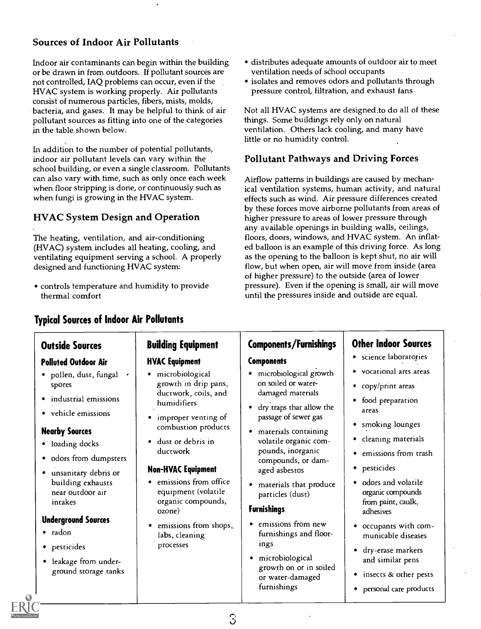#### Sources of Indoor Air Pollutants

Indoor air contaminants can begin within the building or be drawn in from outdoors. If pollutant sources are not controlled, IAQ problems can occur, even if the HVAC system is working properly. Air pollutants consist of numerous particles, fibers, mists, molds, bacteria, and gases. It may be helpful to think of air pollutant sources as fitting into one of the categories in the table shown below.

In addition to the number of potential pollutants, indoor air pollutant levels can vary within the school building, or even a single classroom. Pollutants can also vary with time, such as only once each week when floor stripping is done, or continuously such as when fungi is growing in the HVAC system.

## HVAC System Design and Operation

The heating, ventilation, and air-conditioning (HVAC) system includes all heating, cooling, and ventilating equipment serving a school. A properly designed and functioning HVAC system:

controls temperature and humidity to provide thermal comfort

- distributes adequate amounts of outdoor air to meet ventilation needs of school occupants
- isolates and removes odors and pollutants through pressure control, filtration, and exhaust fans

Not all HVAC systems are designed .to do all of these things. Some buildings rely only on natural ventilation. Others lack cooling, and many have little or no humidity control.

#### Pollutant Pathways and Driving Forces

Airflow patterns in buildings are caused by mechanical ventilation systems, human activity, and natural effects such as wind. Air pressure differences created by these forces move airborne pollutants from areas of higher pressure to areas of lower pressure through any available openings in building walls, ceilings, floors, doors, windows, and HVAC system. An inflated balloon is an example of this driving force. As long as the opening to the balloon is kept shut, no air will flow, but when open, air will move from inside (area of higher pressure) to the outside (area of lower pressure). Even if the opening is small, air will move until the pressures inside and outside are equal.

| <b>Outside Sources</b>                                                                                                                                                                                                                                                                                                                                   | <b>Building Equipment</b>                                                                                                                                                                                                                                                                                                                                             | Components/Furnishings                                                                                                                                                                                                                                                                                                                                                                                                                                   | <b>Other Indoor Sources</b>                                                                                                                                                                                                                                                                                                                                                                        |
|----------------------------------------------------------------------------------------------------------------------------------------------------------------------------------------------------------------------------------------------------------------------------------------------------------------------------------------------------------|-----------------------------------------------------------------------------------------------------------------------------------------------------------------------------------------------------------------------------------------------------------------------------------------------------------------------------------------------------------------------|----------------------------------------------------------------------------------------------------------------------------------------------------------------------------------------------------------------------------------------------------------------------------------------------------------------------------------------------------------------------------------------------------------------------------------------------------------|----------------------------------------------------------------------------------------------------------------------------------------------------------------------------------------------------------------------------------------------------------------------------------------------------------------------------------------------------------------------------------------------------|
| <b>Polluted Outdoor Air</b>                                                                                                                                                                                                                                                                                                                              |                                                                                                                                                                                                                                                                                                                                                                       | <b>Components</b>                                                                                                                                                                                                                                                                                                                                                                                                                                        | • science laboratories                                                                                                                                                                                                                                                                                                                                                                             |
| • pollen, dust, fungal<br>spores<br>· industrial emissions<br>• vehicle emissions<br><b>Nearby Sources</b><br>· loading docks<br>· odors from dumpsters<br>unsanitary debris or<br>٠<br>building exhausts<br>near outdoor air<br>intakes<br><b>Underground Sources</b><br>$\bullet$ radon<br>· pesticides<br>leakage from under-<br>ground storage tanks | <b>HVAC Equipment</b><br>microbiological<br>٠<br>growth in drip pans,<br>ductwork, coils, and<br>humidifiers<br>improper venting of<br>٠<br>combustion products<br>dust or debris in<br>ductwork<br><b>Non-HVAC Equipment</b><br>emissions from office<br>equipment (volatile<br>organic compounds,<br>ozone)<br>emissions from shops,<br>labs, cleaning<br>processes | · microbiological growth<br>on soiled or water-<br>damaged materials<br>dry traps that allow the<br>passage of sewer gas<br>· materials containing<br>volatile organic com-<br>pounds, inorganic<br>compounds, or dam-<br>aged asbestos<br>materials that produce<br>particles (dust)<br><b>Furnishings</b><br>emissions from new<br>furnishings and floor-<br>ings<br>microbiological<br>٠<br>growth on or in soiled<br>or water-damaged<br>furnishings | • vocational arts areas<br>• copy/print areas<br>• food preparation<br>areas<br>• smoking lounges<br>• cleaning materials<br>• emissions from trash<br>· pesticides<br>• odors and volatile<br>organic compounds<br>from paint, caulk,<br>adhesives<br>• occupants with com-<br>municable diseases<br>• dry-erase markers<br>and similar pens<br>• insects & other pests<br>personal care products |

## Typical Sources of Indoor Air Pollutants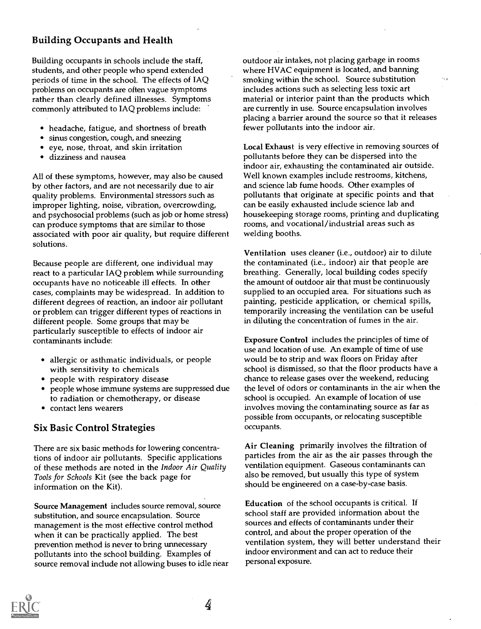## Building Occupants and Health

Building occupants in schools include the staff, students, and other people who spend extended periods of time in the school. The effects of IAQ problems on occupants are often vague symptoms rather than clearly defined illnesses. Symptoms commonly attributed to IAQ problems include:

- headache, fatigue, and shortness of breath
- sinus congestion, cough, and sneezing
- eye, nose, throat, and skin irritation
- dizziness and nausea

All of these symptoms, however, may also be caused by other factors, and are not necessarily due to air quality problems. Environmental stressors such as improper lighting, noise, vibration, overcrowding, and psychosocial problems (such as job or home stress) can produce symptoms that are similar to those associated with poor air quality, but require different solutions.

Because people are different, one individual may react to a particular IAQ problem while surrounding occupants have no noticeable ill effects. In other cases, complaints may be widespread. In addition to different degrees of reaction, an indoor air pollutant or problem can trigger different types of reactions in different people. Some groups that may be particularly susceptible to effects of indoor air contaminants include:

- allergic or asthmatic individuals, or people with sensitivity to chemicals
- people with respiratory disease
- people whose immune systems are suppressed due to radiation or chemotherapy, or disease
- contact lens wearers

## Six Basic Control Strategies

There are six basic methods for lowering concentrations of indoor air pollutants. Specific applications of these methods are noted in the Indoor Air Quality Tools for Schools Kit (see the back page for information on the Kit).

Source Management includes source removal, source substitution, and source encapsulation. Source management is the most effective control method when it can be practically applied. The best prevention method is never to bring unnecessary pollutants into the school building. Examples of source removal include not allowing buses to idle near outdoor air intakes, not placing garbage in rooms where HVAC equipment is located, and banning smoking within the school. Source substitution includes actions such as selecting less toxic art material or interior paint than the products which are currently in use. Source encapsulation involves placing a barrier around the source so that it releases fewer pollutants into the indoor air.

Local Exhaust is very effective in removing sources of pollutants before they can be dispersed into the indoor air, exhausting the contaminated air outside. Well known examples include restrooms, kitchens, and science lab fume hoods. Other examples of pollutants that originate at specific points and that can be easily exhausted include science lab and housekeeping storage rooms, printing and duplicating rooms, and vocational/industrial areas such as welding booths.

Ventilation uses cleaner (i.e., outdoor) air to dilute the contaminated (i.e., indoor) air that people are breathing. Generally, local building codes specify the amount of outdoor air that must be continuously supplied to an occupied area. For situations such as painting, pesticide application, or chemical spills, temporarily increasing the ventilation can be useful in diluting the concentration of fumes in the air.

Exposure Control includes the principles of time of use and location of use. An example of time of use would be to strip and wax floors on Friday after school is dismissed, so that the floor products have a chance to release gases over the weekend, reducing the level of odors or contaminants in the air when the school is occupied. An example of location of use involves moving the contaminating source as far as possible from occupants, or relocating susceptible occupants.

Air Cleaning primarily involves the filtration of particles from the air as the air passes through the ventilation equipment. Gaseous contaminants can also be removed, but usually this type of system should be engineered on a case-by-case basis.

Education of the school occupants is critical. If school staff are provided information about the sources and effects of contaminants under their control, and about the proper operation of the ventilation system, they will better understand their indoor environment and can act to reduce their personal exposure.

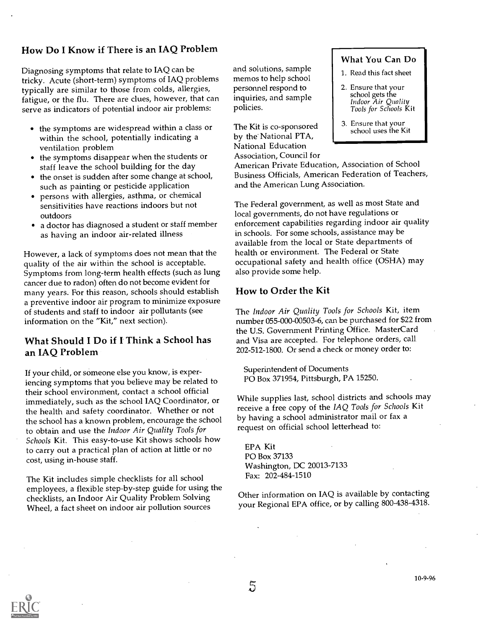#### How Do I Know if There is an IAQ Problem

Diagnosing symptoms that relate to IAQ can be tricky. Acute (short-term) symptoms of IAQ problems typically are similar to those from colds, allergies, fatigue, or the flu. There are clues, however, that can serve as indicators of potential indoor air problems:

- the symptoms are widespread within a class or within the school, potentially indicating a ventilation problem
- the symptoms disappear when the students or staff leave the school building for the day
- the onset is sudden after some change at school, such as painting or pesticide application
- persons with allergies, asthma, or chemical sensitivities have reactions indoors but not outdoors
- a doctor has diagnosed a student or staff member as having an indoor air-related illness

However, a lack of symptoms does not mean that the quality of the air within the school is acceptable. Symptoms from long-term health effects (such as lung cancer due to radon) often do not become evident for many years. For this reason, schools should establish a preventive indoor air program to minimize exposure of students and staff to indoor air pollutants (see information on the "Kit," next section).

#### What Should I Do if I Think a School has an IAQ Problem

If your child, or someone else you know, is experiencing symptoms that you believe may be related to their school environment, contact a school official immediately, such as the school IAQ Coordinator, or the health and safety coordinator. Whether or not the school has a known problem, encourage the school to obtain and use the Indoor Air Quality Tools for Schools Kit. This easy-to-use Kit shows schools how to carry out a practical plan of action at little or no cost, using in-house staff.

The Kit includes simple checklists for all school employees, a flexible step-by-step guide for using the checklists, an Indoor Air Quality Problem Solving Wheel, a fact sheet on indoor air pollution sources

and solutions, sample memos to help school personnel respond to inquiries, and sample policies.

by the National PTA, National Education Association, Council for

#### What You Can Do

- 1. Read this fact sheet
- 2. Ensure that your school gets the Indoor Air Quality Tools for Schools Kit
- The Kit is co-sponsored  $\begin{array}{|c|c|} \hline 3. & \text{Ensure that your} \end{array}$ school uses the Kit

American Private Education, Association of School Business Officials, American Federation of Teachers, and the American Lung Association.

The Federal government, as well as most State and local governments, do not have regulations or enforcement capabilities regarding indoor air quality in schools. For some schools, assistance may be available from the local or State departments of health or environment. The Federal or State occupational safety and health office (OSHA) may also provide some help.

#### How to Order the Kit

The Indoor Air Quality Tools for Schools Kit, item number 055-000-00503-6, can be purchased for \$22 from the U.S. Government Printing Office. MasterCard and Visa are accepted. For telephone orders, call. 202-512-1800. Or send a check or money order to:

Superintendent of Documents PO Box 371954, Pittsburgh, PA 15250.

While supplies last, school districts and schools may receive a free copy of the IAQ Tools for Schools Kit by having a school administrator mail or fax a request on official school letterhead to:

EPA Kit PO Box 37133 Washington, DC 20013-7133 Fax: 202-484-1510

Other information on IAQ is available by contacting your Regional EPA office, or by calling 800-438-4318.